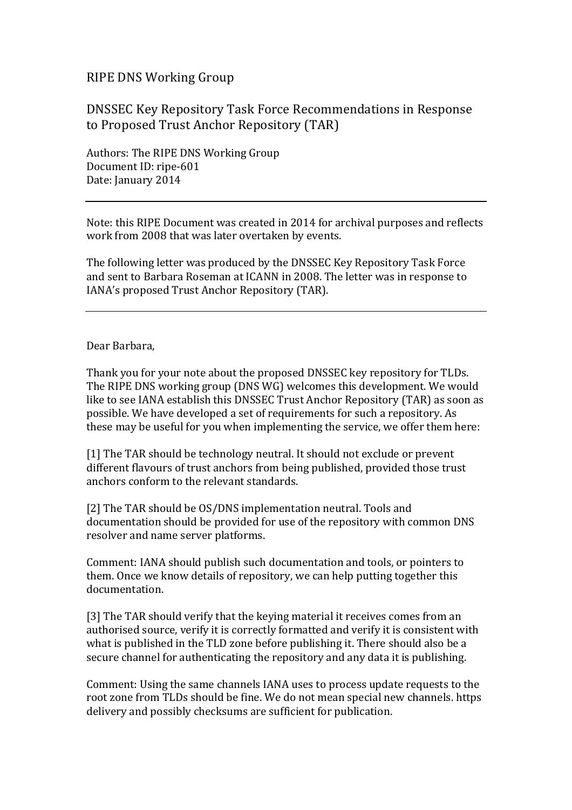## RIPE DNS Working Group

## DNSSEC Key Repository Task Force Recommendations in Response to Proposed Trust Anchor Repository (TAR)

Authors: The RIPE DNS Working Group Document ID: ripe-601 Date: January 2014

Note: this RIPE Document was created in 2014 for archival purposes and reflects work from 2008 that was later overtaken by events.

The following letter was produced by the DNSSEC Key Repository Task Force and sent to Barbara Roseman at ICANN in 2008. The letter was in response to IANA's proposed Trust Anchor Repository (TAR).

## Dear Barbara,

Thank you for your note about the proposed DNSSEC key repository for TLDs. The RIPE DNS working group (DNS WG) welcomes this development. We would like to see IANA establish this DNSSEC Trust Anchor Repository (TAR) as soon as possible. We have developed a set of requirements for such a repository. As these may be useful for you when implementing the service, we offer them here:

[1] The TAR should be technology neutral. It should not exclude or prevent different flavours of trust anchors from being published, provided those trust anchors conform to the relevant standards.

[2] The TAR should be OS/DNS implementation neutral. Tools and documentation should be provided for use of the repository with common DNS resolver and name server platforms.

Comment: IANA should publish such documentation and tools, or pointers to them. Once we know details of repository, we can help putting together this documentation.

[3] The TAR should verify that the keying material it receives comes from an authorised source, verify it is correctly formatted and verify it is consistent with what is published in the TLD zone before publishing it. There should also be a secure channel for authenticating the repository and any data it is publishing.

Comment: Using the same channels IANA uses to process update requests to the root zone from TLDs should be fine. We do not mean special new channels. https delivery and possibly checksums are sufficient for publication.